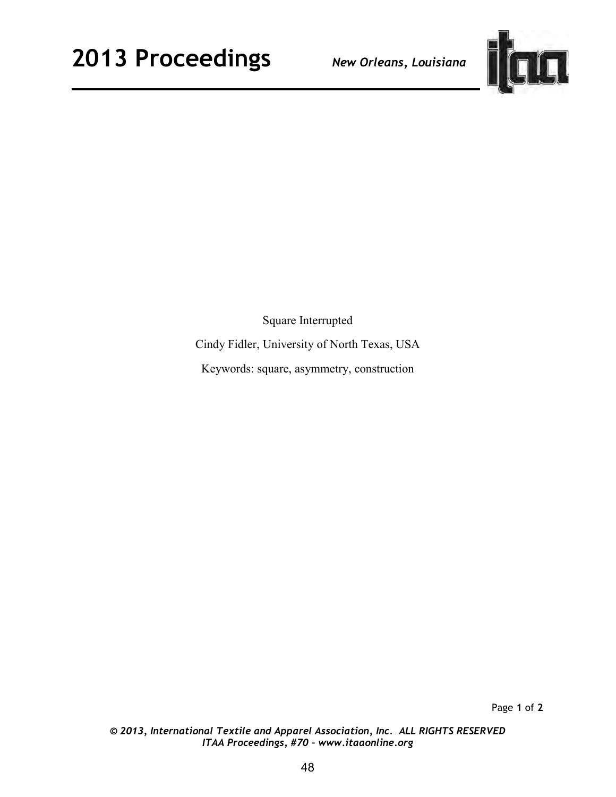

Square Interrupted Cindy Fidler, University of North Texas, USA Keywords: square, asymmetry, construction

Page **1** of **2**